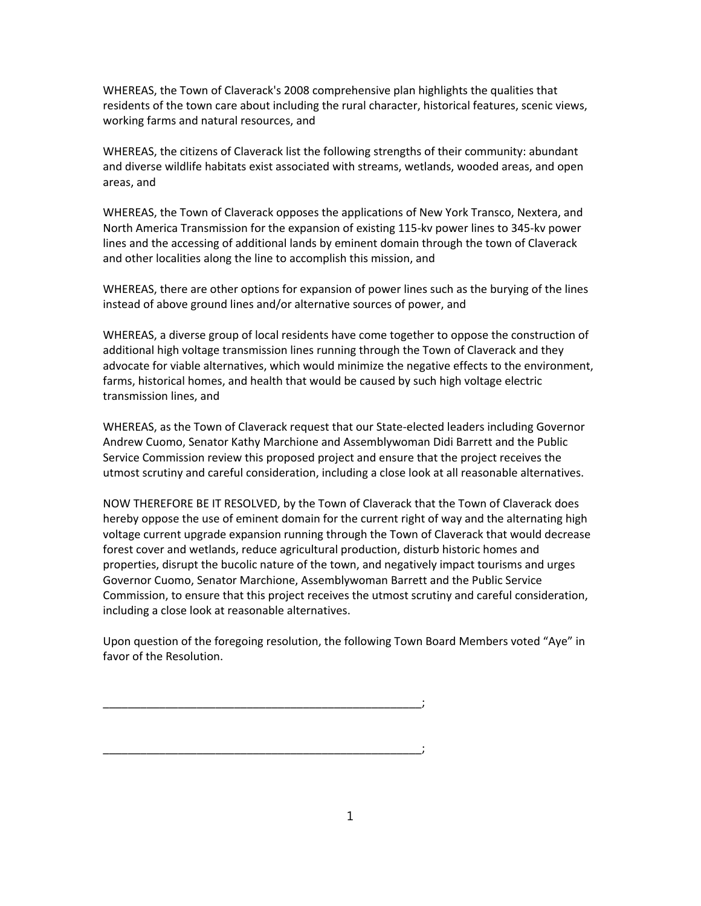WHEREAS, the Town of Claverack's 2008 comprehensive plan highlights the qualities that residents of the town care about including the rural character, historical features, scenic views, working farms and natural resources, and

WHEREAS, the citizens of Claverack list the following strengths of their community: abundant and diverse wildlife habitats exist associated with streams, wetlands, wooded areas, and open areas, and

WHEREAS, the Town of Claverack opposes the applications of New York Transco, Nextera, and North America Transmission for the expansion of existing 115‐kv power lines to 345‐kv power lines and the accessing of additional lands by eminent domain through the town of Claverack and other localities along the line to accomplish this mission, and

WHEREAS, there are other options for expansion of power lines such as the burying of the lines instead of above ground lines and/or alternative sources of power, and

WHEREAS, a diverse group of local residents have come together to oppose the construction of additional high voltage transmission lines running through the Town of Claverack and they advocate for viable alternatives, which would minimize the negative effects to the environment, farms, historical homes, and health that would be caused by such high voltage electric transmission lines, and

WHEREAS, as the Town of Claverack request that our State‐elected leaders including Governor Andrew Cuomo, Senator Kathy Marchione and Assemblywoman Didi Barrett and the Public Service Commission review this proposed project and ensure that the project receives the utmost scrutiny and careful consideration, including a close look at all reasonable alternatives.

NOW THEREFORE BE IT RESOLVED, by the Town of Claverack that the Town of Claverack does hereby oppose the use of eminent domain for the current right of way and the alternating high voltage current upgrade expansion running through the Town of Claverack that would decrease forest cover and wetlands, reduce agricultural production, disturb historic homes and properties, disrupt the bucolic nature of the town, and negatively impact tourisms and urges Governor Cuomo, Senator Marchione, Assemblywoman Barrett and the Public Service Commission, to ensure that this project receives the utmost scrutiny and careful consideration, including a close look at reasonable alternatives.

Upon question of the foregoing resolution, the following Town Board Members voted "Aye" in favor of the Resolution.

\_\_\_\_\_\_\_\_\_\_\_\_\_\_\_\_\_\_\_\_\_\_\_\_\_\_\_\_\_\_\_\_\_\_\_\_\_\_\_\_\_\_\_\_\_\_\_\_\_\_\_;

\_\_\_\_\_\_\_\_\_\_\_\_\_\_\_\_\_\_\_\_\_\_\_\_\_\_\_\_\_\_\_\_\_\_\_\_\_\_\_\_\_\_\_\_\_\_\_\_\_\_\_;